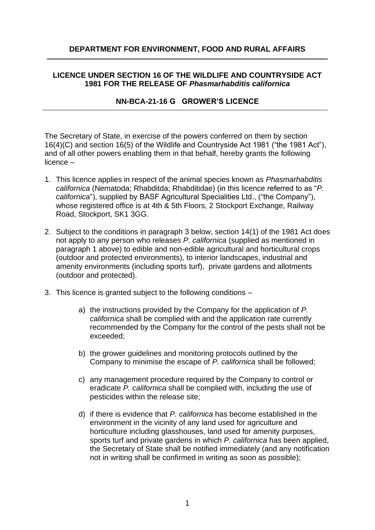# **DEPARTMENT FOR ENVIRONMENT, FOOD AND RURAL AFFAIRS**

# **LICENCE UNDER SECTION 16 OF THE WILDLIFE AND COUNTRYSIDE ACT 1981 FOR THE RELEASE OF** *Phasmarhabditis californica*

# **NN-BCA-21-16 G GROWER'S LICENCE**

The Secretary of State, in exercise of the powers conferred on them by section 16(4)(C) and section 16(5) of the Wildlife and Countryside Act 1981 ("the 1981 Act"), and of all other powers enabling them in that behalf, hereby grants the following licence –

- 1. This licence applies in respect of the animal species known as *Phasmarhabditis californica* (Nematoda; Rhabditda; Rhabditidae) (in this licence referred to as "*P. californica*"), supplied by BASF Agricultural Specialities Ltd., ("the Company"), whose registered office is at 4th & 5th Floors, 2 Stockport Exchange, Railway Road, Stockport, SK1 3GG.
- 2. Subject to the conditions in paragraph 3 below, section 14(1) of the 1981 Act does not apply to any person who releases *P. californica* (supplied as mentioned in paragraph 1 above) to edible and non-edible agricultural and horticultural crops (outdoor and protected environments), to interior landscapes, industrial and amenity environments (including sports turf), private gardens and allotments (outdoor and protected).
- 3. This licence is granted subject to the following conditions –

- a) the instructions provided by the Company for the application of *P. californica* shall be complied with and the application rate currently recommended by the Company for the control of the pests shall not be exceeded;
- b) the grower guidelines and monitoring protocols outlined by the Company to minimise the escape of *P. californica* shall be followed;
- c) any management procedure required by the Company to control or eradicate *P. californica* shall be complied with, including the use of pesticides within the release site;
- d) if there is evidence that *P. californica* has become established in the environment in the vicinity of any land used for agriculture and horticulture including glasshouses, land used for amenity purposes, sports turf and private gardens in which *P. californica* has been applied, the Secretary of State shall be notified immediately (and any notification not in writing shall be confirmed in writing as soon as possible);